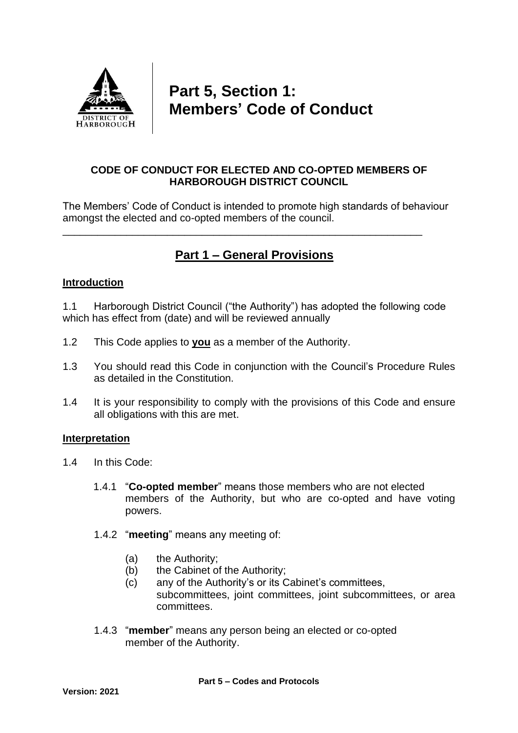

# **Part 5, Section 1: Members' Code of Conduct**

# **CODE OF CONDUCT FOR ELECTED AND CO-OPTED MEMBERS OF HARBOROUGH DISTRICT COUNCIL**

The Members' Code of Conduct is intended to promote high standards of behaviour amongst the elected and co-opted members of the council.

# **Part 1 – General Provisions**

\_\_\_\_\_\_\_\_\_\_\_\_\_\_\_\_\_\_\_\_\_\_\_\_\_\_\_\_\_\_\_\_\_\_\_\_\_\_\_\_\_\_\_\_\_\_\_\_\_\_\_\_\_\_\_\_\_\_\_\_\_\_

# **Introduction**

1.1 Harborough District Council ("the Authority") has adopted the following code which has effect from (date) and will be reviewed annually

- 1.2 This Code applies to **you** as a member of the Authority.
- 1.3 You should read this Code in conjunction with the Council's Procedure Rules as detailed in the Constitution.
- 1.4 It is your responsibility to comply with the provisions of this Code and ensure all obligations with this are met.

# **Interpretation**

- 1.4 In this Code:
	- 1.4.1 "**Co-opted member**" means those members who are not elected members of the Authority, but who are co-opted and have voting powers.
	- 1.4.2 "**meeting**" means any meeting of:
		- (a) the Authority;
		- (b) the Cabinet of the Authority;
		- (c) any of the Authority's or its Cabinet's committees, subcommittees, joint committees, joint subcommittees, or area committees.
	- 1.4.3 "**member**" means any person being an elected or co-opted member of the Authority.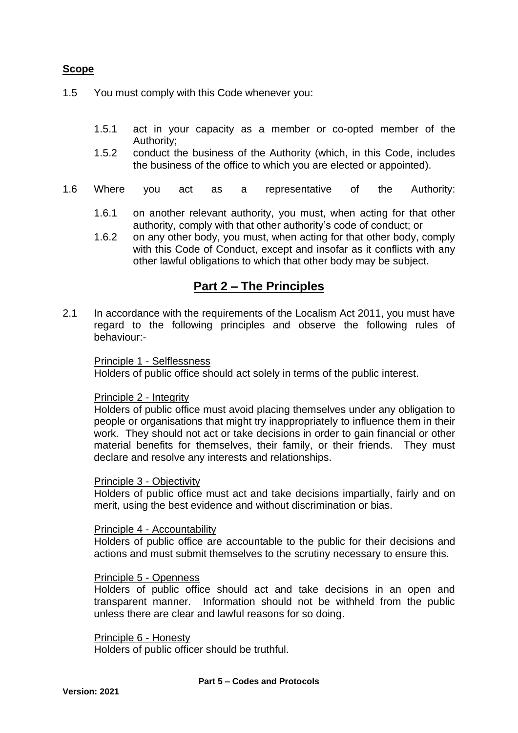# **Scope**

- 1.5 You must comply with this Code whenever you:
	- 1.5.1 act in your capacity as a member or co-opted member of the Authority;
	- 1.5.2 conduct the business of the Authority (which, in this Code, includes the business of the office to which you are elected or appointed).
- 1.6 Where you act as a representative of the Authority:
	- 1.6.1 on another relevant authority, you must, when acting for that other authority, comply with that other authority's code of conduct; or
	- 1.6.2 on any other body, you must, when acting for that other body, comply with this Code of Conduct, except and insofar as it conflicts with any other lawful obligations to which that other body may be subject.

# **Part 2 – The Principles**

2.1 In accordance with the requirements of the Localism Act 2011, you must have regard to the following principles and observe the following rules of behaviour:-

#### Principle 1 - Selflessness

Holders of public office should act solely in terms of the public interest.

### Principle 2 - Integrity

Holders of public office must avoid placing themselves under any obligation to people or organisations that might try inappropriately to influence them in their work. They should not act or take decisions in order to gain financial or other material benefits for themselves, their family, or their friends. They must declare and resolve any interests and relationships.

#### Principle 3 - Objectivity

Holders of public office must act and take decisions impartially, fairly and on merit, using the best evidence and without discrimination or bias.

#### Principle 4 - Accountability

Holders of public office are accountable to the public for their decisions and actions and must submit themselves to the scrutiny necessary to ensure this.

### Principle 5 - Openness

Holders of public office should act and take decisions in an open and transparent manner. Information should not be withheld from the public unless there are clear and lawful reasons for so doing.

Principle 6 - Honesty Holders of public officer should be truthful.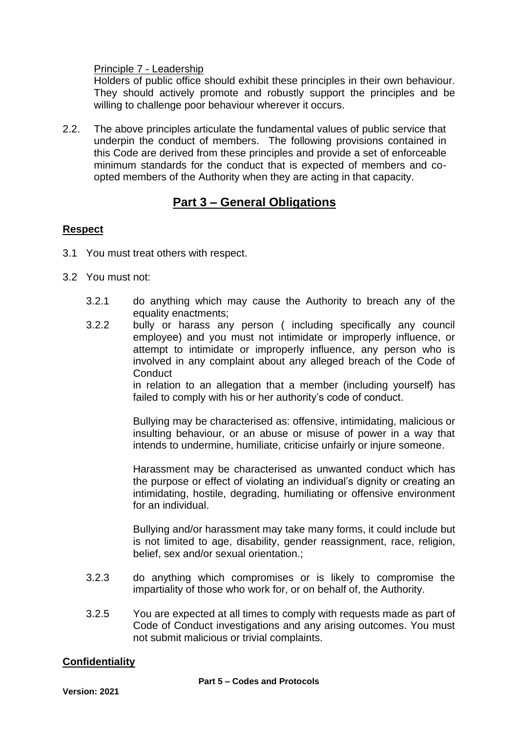Principle 7 - Leadership

Holders of public office should exhibit these principles in their own behaviour. They should actively promote and robustly support the principles and be willing to challenge poor behaviour wherever it occurs.

2.2. The above principles articulate the fundamental values of public service that underpin the conduct of members. The following provisions contained in this Code are derived from these principles and provide a set of enforceable minimum standards for the conduct that is expected of members and coopted members of the Authority when they are acting in that capacity.

# **Part 3 – General Obligations**

# **Respect**

- 3.1 You must treat others with respect.
- 3.2 You must not:
	- 3.2.1 do anything which may cause the Authority to breach any of the equality enactments;
	- 3.2.2 bully or harass any person ( including specifically any council employee) and you must not intimidate or improperly influence, or attempt to intimidate or improperly influence, any person who is involved in any complaint about any alleged breach of the Code of **Conduct**

in relation to an allegation that a member (including yourself) has failed to comply with his or her authority's code of conduct.

Bullying may be characterised as: offensive, intimidating, malicious or insulting behaviour, or an abuse or misuse of power in a way that intends to undermine, humiliate, criticise unfairly or injure someone.

Harassment may be characterised as unwanted conduct which has the purpose or effect of violating an individual's dignity or creating an intimidating, hostile, degrading, humiliating or offensive environment for an individual.

Bullying and/or harassment may take many forms, it could include but is not limited to age, disability, gender reassignment, race, religion, belief, sex and/or sexual orientation.;

- 3.2.3 do anything which compromises or is likely to compromise the impartiality of those who work for, or on behalf of, the Authority.
- 3.2.5 You are expected at all times to comply with requests made as part of Code of Conduct investigations and any arising outcomes. You must not submit malicious or trivial complaints.

# **Confidentiality**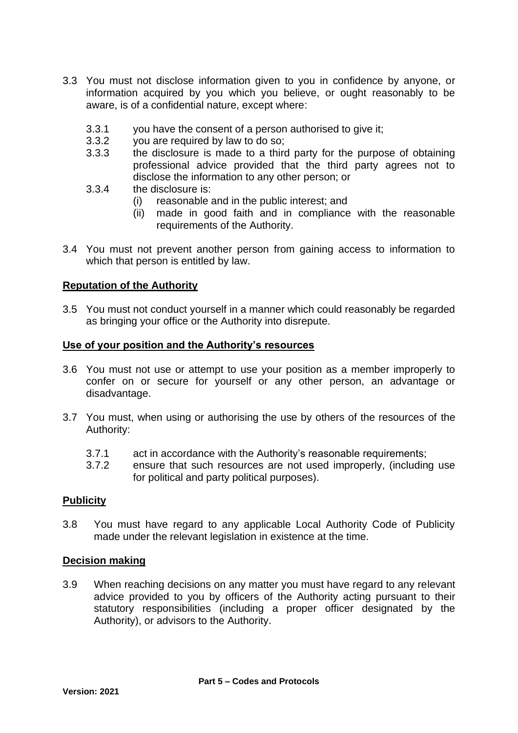- 3.3 You must not disclose information given to you in confidence by anyone, or information acquired by you which you believe, or ought reasonably to be aware, is of a confidential nature, except where:
	- 3.3.1 you have the consent of a person authorised to give it;
	- 3.3.2 you are required by law to do so;
	- 3.3.3 the disclosure is made to a third party for the purpose of obtaining professional advice provided that the third party agrees not to disclose the information to any other person; or
	- 3.3.4 the disclosure is:
		- (i) reasonable and in the public interest; and
		- (ii) made in good faith and in compliance with the reasonable requirements of the Authority.
- 3.4 You must not prevent another person from gaining access to information to which that person is entitled by law.

#### **Reputation of the Authority**

3.5 You must not conduct yourself in a manner which could reasonably be regarded as bringing your office or the Authority into disrepute.

#### **Use of your position and the Authority's resources**

- 3.6 You must not use or attempt to use your position as a member improperly to confer on or secure for yourself or any other person, an advantage or disadvantage.
- 3.7 You must, when using or authorising the use by others of the resources of the Authority:
	- 3.7.1 act in accordance with the Authority's reasonable requirements;
	- 3.7.2 ensure that such resources are not used improperly, (including use for political and party political purposes).

#### **Publicity**

3.8 You must have regard to any applicable Local Authority Code of Publicity made under the relevant legislation in existence at the time.

#### **Decision making**

3.9 When reaching decisions on any matter you must have regard to any relevant advice provided to you by officers of the Authority acting pursuant to their statutory responsibilities (including a proper officer designated by the Authority), or advisors to the Authority.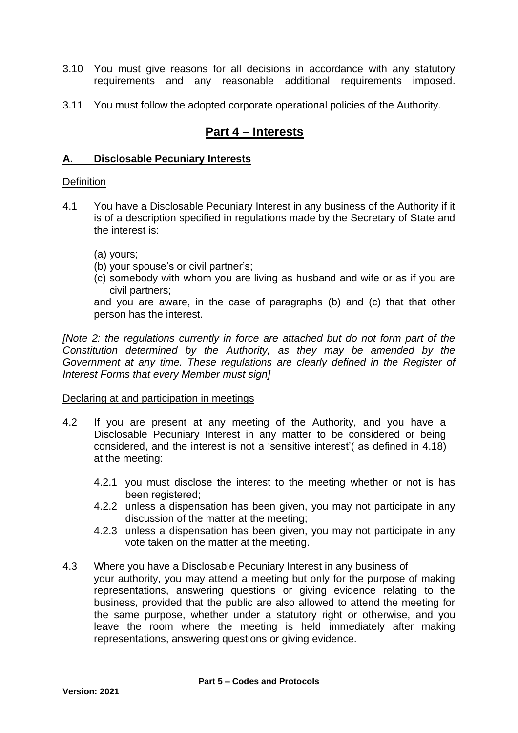- 3.10 You must give reasons for all decisions in accordance with any statutory requirements and any reasonable additional requirements imposed.
- 3.11 You must follow the adopted corporate operational policies of the Authority.

# **Part 4 – Interests**

### **A. Disclosable Pecuniary Interests**

#### **Definition**

- 4.1 You have a Disclosable Pecuniary Interest in any business of the Authority if it is of a description specified in regulations made by the Secretary of State and the interest is:
	- (a) yours;
	- (b) your spouse's or civil partner's;
	- (c) somebody with whom you are living as husband and wife or as if you are civil partners;

and you are aware, in the case of paragraphs (b) and (c) that that other person has the interest.

*[Note 2: the regulations currently in force are attached but do not form part of the Constitution determined by the Authority, as they may be amended by the Government at any time. These regulations are clearly defined in the Register of Interest Forms that every Member must sign]*

#### Declaring at and participation in meetings

- 4.2 If you are present at any meeting of the Authority, and you have a Disclosable Pecuniary Interest in any matter to be considered or being considered, and the interest is not a 'sensitive interest'( as defined in 4.18) at the meeting:
	- 4.2.1 you must disclose the interest to the meeting whether or not is has been registered;
	- 4.2.2 unless a dispensation has been given, you may not participate in any discussion of the matter at the meeting;
	- 4.2.3 unless a dispensation has been given, you may not participate in any vote taken on the matter at the meeting.
- 4.3 Where you have a Disclosable Pecuniary Interest in any business of your authority, you may attend a meeting but only for the purpose of making representations, answering questions or giving evidence relating to the business, provided that the public are also allowed to attend the meeting for the same purpose, whether under a statutory right or otherwise, and you leave the room where the meeting is held immediately after making representations, answering questions or giving evidence.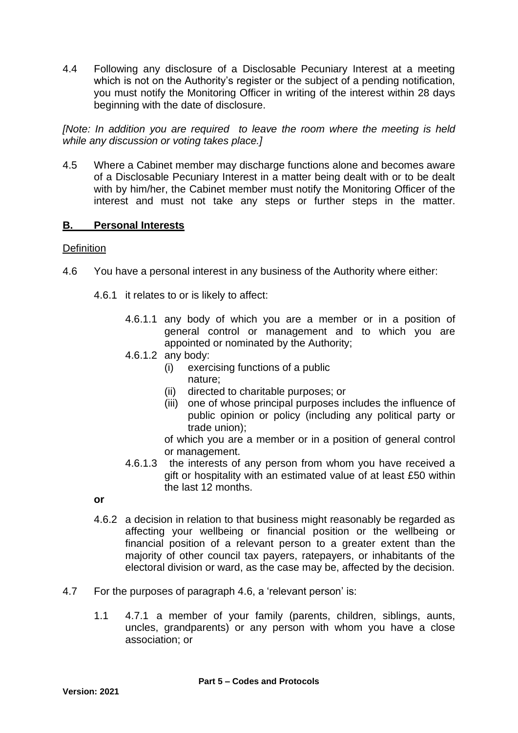4.4 Following any disclosure of a Disclosable Pecuniary Interest at a meeting which is not on the Authority's register or the subject of a pending notification, you must notify the Monitoring Officer in writing of the interest within 28 days beginning with the date of disclosure.

*[Note: In addition you are required to leave the room where the meeting is held while any discussion or voting takes place.]*

4.5 Where a Cabinet member may discharge functions alone and becomes aware of a Disclosable Pecuniary Interest in a matter being dealt with or to be dealt with by him/her, the Cabinet member must notify the Monitoring Officer of the interest and must not take any steps or further steps in the matter.

# **B. Personal Interests**

# **Definition**

- 4.6 You have a personal interest in any business of the Authority where either:
	- 4.6.1 it relates to or is likely to affect:
		- 4.6.1.1 any body of which you are a member or in a position of general control or management and to which you are appointed or nominated by the Authority;
		- 4.6.1.2 any body:
			- (i) exercising functions of a public
				- nature;
			- (ii) directed to charitable purposes; or
			- (iii) one of whose principal purposes includes the influence of public opinion or policy (including any political party or trade union);
			- of which you are a member or in a position of general control or management.
		- 4.6.1.3 the interests of any person from whom you have received a gift or hospitality with an estimated value of at least £50 within the last 12 months.
	- **or**
	- 4.6.2 a decision in relation to that business might reasonably be regarded as affecting your wellbeing or financial position or the wellbeing or financial position of a relevant person to a greater extent than the majority of other council tax payers, ratepayers, or inhabitants of the electoral division or ward, as the case may be, affected by the decision.
- 4.7 For the purposes of paragraph 4.6, a 'relevant person' is:
	- 1.1 4.7.1 a member of your family (parents, children, siblings, aunts, uncles, grandparents) or any person with whom you have a close association; or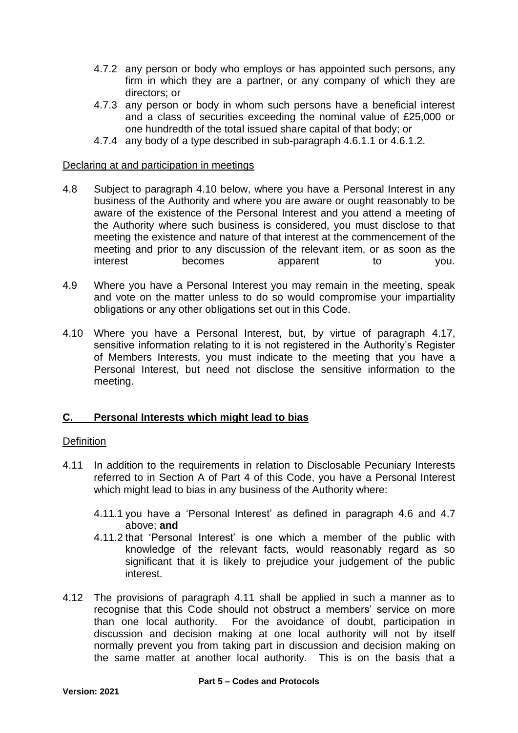- 4.7.2 any person or body who employs or has appointed such persons, any firm in which they are a partner, or any company of which they are directors; or
- 4.7.3 any person or body in whom such persons have a beneficial interest and a class of securities exceeding the nominal value of £25,000 or one hundredth of the total issued share capital of that body; or
- 4.7.4 any body of a type described in sub-paragraph 4.6.1.1 or 4.6.1.2.

#### Declaring at and participation in meetings

- 4.8 Subject to paragraph 4.10 below, where you have a Personal Interest in any business of the Authority and where you are aware or ought reasonably to be aware of the existence of the Personal Interest and you attend a meeting of the Authority where such business is considered, you must disclose to that meeting the existence and nature of that interest at the commencement of the meeting and prior to any discussion of the relevant item, or as soon as the interest becomes apparent to you.
- 4.9 Where you have a Personal Interest you may remain in the meeting, speak and vote on the matter unless to do so would compromise your impartiality obligations or any other obligations set out in this Code.
- 4.10 Where you have a Personal Interest, but, by virtue of paragraph 4.17, sensitive information relating to it is not registered in the Authority's Register of Members Interests, you must indicate to the meeting that you have a Personal Interest, but need not disclose the sensitive information to the meeting.

# **C. Personal Interests which might lead to bias**

#### **Definition**

- 4.11 In addition to the requirements in relation to Disclosable Pecuniary Interests referred to in Section A of Part 4 of this Code, you have a Personal Interest which might lead to bias in any business of the Authority where:
	- 4.11.1 you have a 'Personal Interest' as defined in paragraph 4.6 and 4.7 above; **and**
	- 4.11.2 that 'Personal Interest' is one which a member of the public with knowledge of the relevant facts, would reasonably regard as so significant that it is likely to prejudice your judgement of the public interest.
- 4.12 The provisions of paragraph 4.11 shall be applied in such a manner as to recognise that this Code should not obstruct a members' service on more than one local authority. For the avoidance of doubt, participation in discussion and decision making at one local authority will not by itself normally prevent you from taking part in discussion and decision making on the same matter at another local authority. This is on the basis that a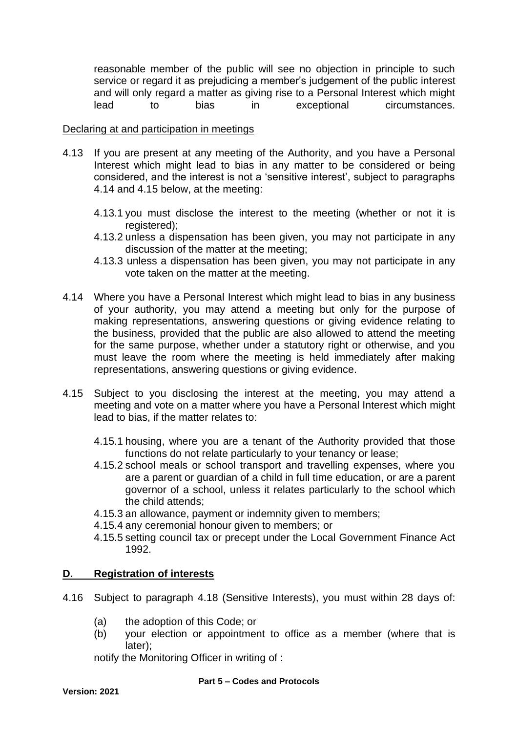reasonable member of the public will see no objection in principle to such service or regard it as prejudicing a member's judgement of the public interest and will only regard a matter as giving rise to a Personal Interest which might lead to bias in exceptional circumstances.

### Declaring at and participation in meetings

- 4.13 If you are present at any meeting of the Authority, and you have a Personal Interest which might lead to bias in any matter to be considered or being considered, and the interest is not a 'sensitive interest', subject to paragraphs 4.14 and 4.15 below, at the meeting:
	- 4.13.1 you must disclose the interest to the meeting (whether or not it is registered);
	- 4.13.2 unless a dispensation has been given, you may not participate in any discussion of the matter at the meeting;
	- 4.13.3 unless a dispensation has been given, you may not participate in any vote taken on the matter at the meeting.
- 4.14 Where you have a Personal Interest which might lead to bias in any business of your authority, you may attend a meeting but only for the purpose of making representations, answering questions or giving evidence relating to the business, provided that the public are also allowed to attend the meeting for the same purpose, whether under a statutory right or otherwise, and you must leave the room where the meeting is held immediately after making representations, answering questions or giving evidence.
- 4.15 Subject to you disclosing the interest at the meeting, you may attend a meeting and vote on a matter where you have a Personal Interest which might lead to bias, if the matter relates to:
	- 4.15.1 housing, where you are a tenant of the Authority provided that those functions do not relate particularly to your tenancy or lease;
	- 4.15.2 school meals or school transport and travelling expenses, where you are a parent or guardian of a child in full time education, or are a parent governor of a school, unless it relates particularly to the school which the child attends;
	- 4.15.3 an allowance, payment or indemnity given to members;
	- 4.15.4 any ceremonial honour given to members; or
	- 4.15.5 setting council tax or precept under the Local Government Finance Act 1992.

# **D. Registration of interests**

- 4.16 Subject to paragraph 4.18 (Sensitive Interests), you must within 28 days of:
	- (a) the adoption of this Code; or
	- (b) your election or appointment to office as a member (where that is later);

notify the Monitoring Officer in writing of :